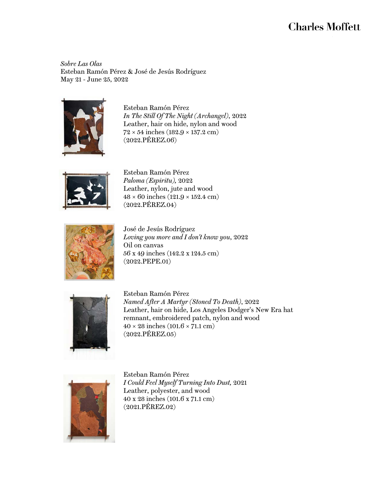## **Charles Moffett**

Sobre Las Olas Esteban Ramón Pérez & José de Jesús Rodríguez May 21 - June 25, 2022



Esteban Ramón Pérez *In The Still Of The Night (Archangel)*, 2022 Leather, hair on hide, nylon and wood  $72 \times 54$  inches  $(182.9 \times 137.2$  cm) (2022.PÉREZ.06)



Esteban Ramón Pérez *Paloma (Espiritu),* 2022 Leather, nylon, jute and wood  $48 \times 60$  inches  $(121.9 \times 152.4$  cm) (2022.PÉREZ.04)



José de Jesús Rodríguez *Loving you more and I don't know you*, 2022 Oil on canvas 56 x 49 inches (142.2 x 124.5 cm) (2022.PEPE.01)



Esteban Ramón Pérez *Named After A Martyr (Stoned To Death)*, 2022 Leather, hair on hide, Los Angeles Dodger's New Era hat remnant, embroidered patch, nylon and wood  $40 \times 28$  inches  $(101.6 \times 71.1$  cm) (2022.PÉREZ.05)



Esteban Ramón Pérez *I Could Feel Myself Turning Into Dust,* 2021 Leather, polyester, and wood 40 x 28 inches (101.6 x 71.1 cm) (2021.PÉREZ.02)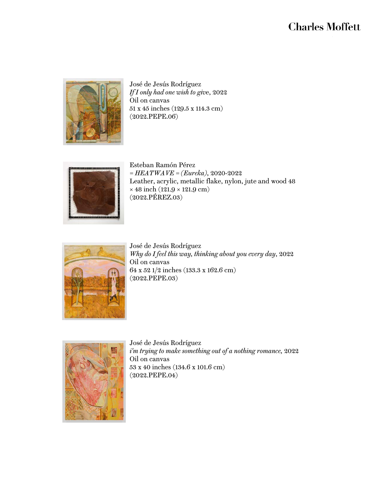## **Charles Moffett**



José de Jesús Rodríguez *If I only had one wish to giv*e, 2022 Oil on canvas 51 x 45 inches (129.5 x 114.3 cm) (2022.PEPE.06)



Esteban Ramón Pérez *= HEATWAVE = (Eureka)*, 2020-2022 Leather, acrylic, metallic flake, nylon, jute and wood 48  $\times$  48 inch (121.9  $\times$  121.9 cm)  $(2022.\widetilde{\textrm{PEREZ}}.03)$ 



José de Jesús Rodríguez *Why do I feel this way, thinking about you every day*, 2022 Oil on canvas 64 x 52 1/2 inches (133.3 x 162.6 cm) (2022.PEPE.03)



José de Jesús Rodríguez *i'm trying to make something out of a nothing romance,* 2022 Oil on canvas 53 x 40 inches (134.6 x 101.6 cm) (2022.PEPE.04)